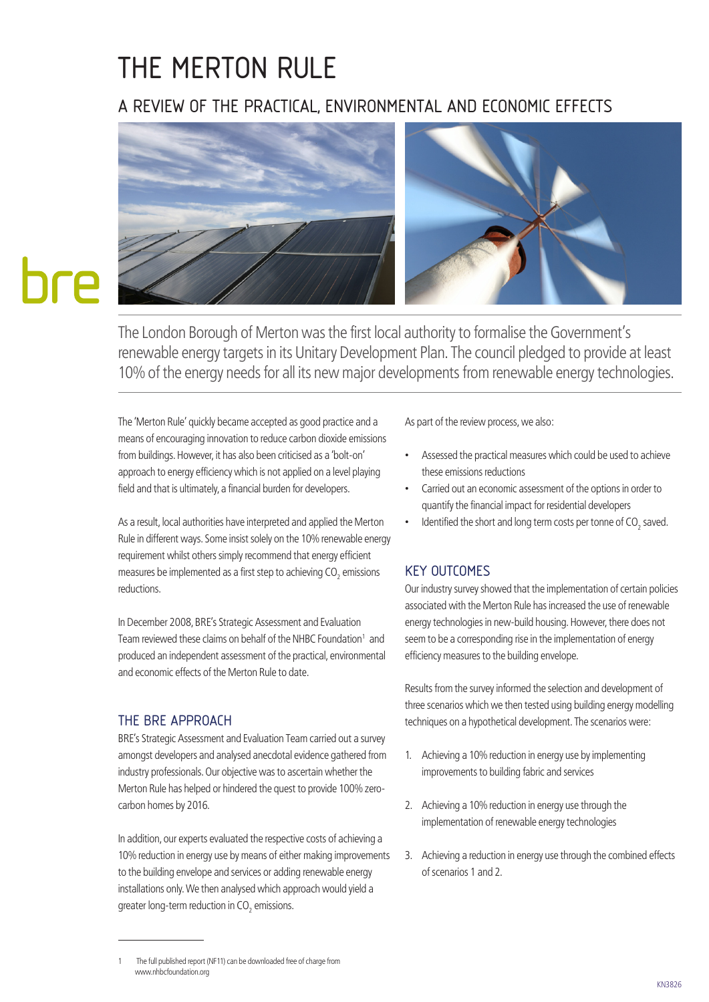# THE MERTON RULE

# A REVIEW OF THE PRACTICAL, ENVIRONMENTAL AND ECONOMIC EFFECTS



The London Borough of Merton was the first local authority to formalise the Government's renewable energy targets in its Unitary Development Plan. The council pledged to provide at least 10% of the energy needs for all its new major developments from renewable energy technologies.

The 'Merton Rule' quickly became accepted as good practice and a means of encouraging innovation to reduce carbon dioxide emissions from buildings. However, it has also been criticised as a 'bolt-on' approach to energy efficiency which is not applied on a level playing field and that is ultimately, a financial burden for developers.

As a result, local authorities have interpreted and applied the Merton Rule in different ways. Some insist solely on the 10% renewable energy requirement whilst others simply recommend that energy efficient measures be implemented as a first step to achieving CO $_{\textrm{\tiny{2}}}$  emissions reductions.

In December 2008, BRE's Strategic Assessment and Evaluation Team reviewed these claims on behalf of the NHBC Foundation<sup>1</sup> and produced an independent assessment of the practical, environmental and economic effects of the Merton Rule to date.

### THE BRE APPROACH

BRE's Strategic Assessment and Evaluation Team carried out a survey amongst developers and analysed anecdotal evidence gathered from industry professionals. Our objective was to ascertain whether the Merton Rule has helped or hindered the quest to provide 100% zerocarbon homes by 2016.

In addition, our experts evaluated the respective costs of achieving a 10% reduction in energy use by means of either making improvements to the building envelope and services or adding renewable energy installations only. We then analysed which approach would yield a greater long-term reduction in CO $_{\textrm{\tiny{2}}}$  emissions.

As part of the review process, we also:

- Assessed the practical measures which could be used to achieve these emissions reductions
- Carried out an economic assessment of the options in order to quantify the financial impact for residential developers
- Identified the short and long term costs per tonne of CO<sub>2</sub> saved.

## KEY OUTCOMES

Our industry survey showed that the implementation of certain policies associated with the Merton Rule has increased the use of renewable energy technologies in new-build housing. However, there does not seem to be a corresponding rise in the implementation of energy efficiency measures to the building envelope.

Results from the survey informed the selection and development of three scenarios which we then tested using building energy modelling techniques on a hypothetical development. The scenarios were:

- 1. Achieving a 10% reduction in energy use by implementing improvements to building fabric and services
- 2. Achieving a 10% reduction in energy use through the implementation of renewable energy technologies
- 3. Achieving a reduction in energy use through the combined effects of scenarios 1 and 2.

The full published report (NF11) can be downloaded free of charge from www.nhbcfoundation.org